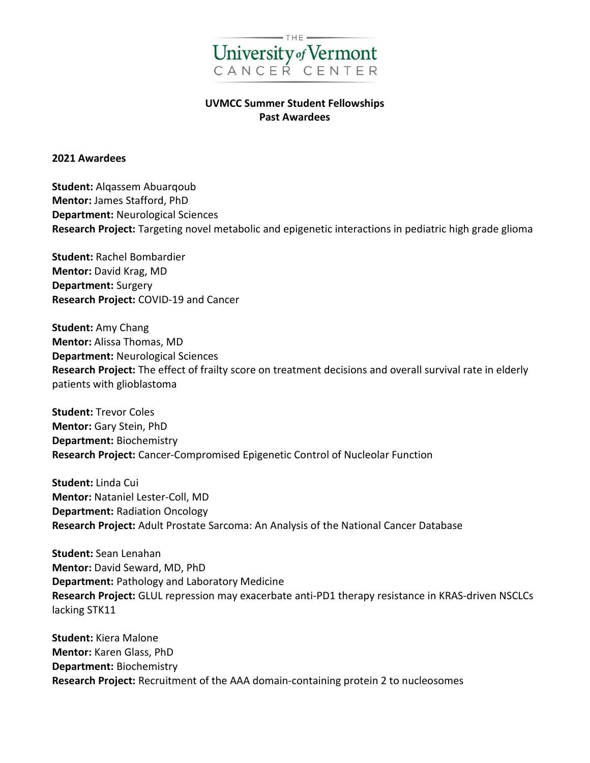

## **UVMCC Summer Student Fellowships Past Awardees**

## **2021 Awardees**

**Student:** Alqassem Abuarqoub **Mentor:** James Stafford, PhD **Department:** Neurological Sciences **Research Project:** Targeting novel metabolic and epigenetic interactions in pediatric high grade glioma

**Student:** Rachel Bombardier **Mentor:** David Krag, MD **Department:** Surgery **Research Project:** COVID-19 and Cancer

**Student:** Amy Chang **Mentor:** Alissa Thomas, MD **Department:** Neurological Sciences **Research Project:** The effect of frailty score on treatment decisions and overall survival rate in elderly patients with glioblastoma

**Student:** Trevor Coles **Mentor:** Gary Stein, PhD **Department:** Biochemistry **Research Project:** Cancer-Compromised Epigenetic Control of Nucleolar Function

**Student:** Linda Cui **Mentor:** Nataniel Lester-Coll, MD **Department:** Radiation Oncology **Research Project:** Adult Prostate Sarcoma: An Analysis of the National Cancer Database

**Student:** Sean Lenahan **Mentor:** David Seward, MD, PhD **Department:** Pathology and Laboratory Medicine **Research Project:** GLUL repression may exacerbate anti-PD1 therapy resistance in KRAS-driven NSCLCs lacking STK11

**Student:** Kiera Malone **Mentor:** Karen Glass, PhD **Department:** Biochemistry **Research Project:** Recruitment of the AAA domain-containing protein 2 to nucleosomes